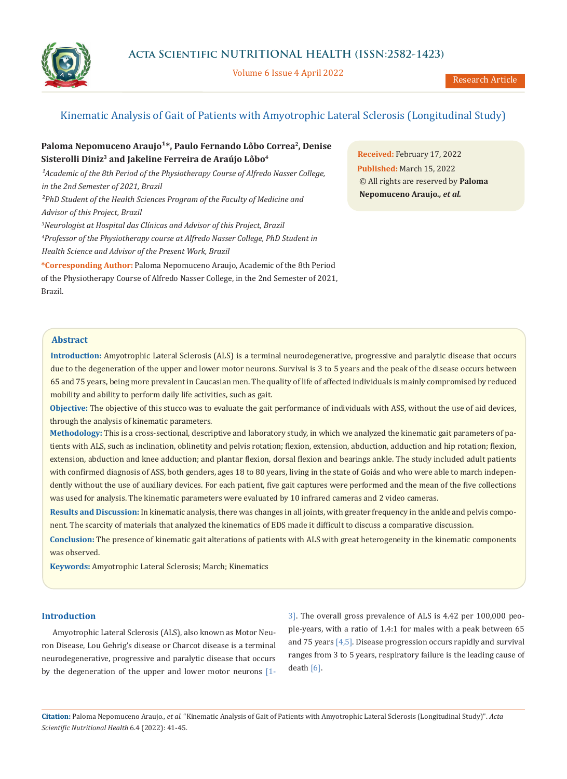

Volume 6 Issue 4 April 2022

# Kinematic Analysis of Gait of Patients with Amyotrophic Lateral Sclerosis (Longitudinal Study)

# Paloma Nepomuceno Araujo<sup>1</sup>\*, Paulo Fernando Lôbo Correa<sup>2</sup>, Denise **Sisterolli Diniz3 and Jakeline Ferreira de Araújo Lôbo4**

<sup>1</sup> Academic of the 8th Period of the Physiotherapy Course of Alfredo Nasser College, *in the 2nd Semester of 2021, Brazil ²PhD Student of the Health Sciences Program of the Faculty of Medicine and Advisor of this Project, Brazil 3 Neurologist at Hospital das Clínicas and Advisor of this Project, Brazil*

*4 Professor of the Physiotherapy course at Alfredo Nasser College, PhD Student in* 

*Health Science and Advisor of the Present Work, Brazil*

**\*Corresponding Author:** Paloma Nepomuceno Araujo, Academic of the 8th Period of the Physiotherapy Course of Alfredo Nasser College, in the 2nd Semester of 2021, Brazil.

**Received:** February 17, 2022 **Published:** March 15, 2022 © All rights are reserved by **Paloma Nepomuceno Araujo***., et al.*

# **Abstract**

**Introduction:** Amyotrophic Lateral Sclerosis (ALS) is a terminal neurodegenerative, progressive and paralytic disease that occurs due to the degeneration of the upper and lower motor neurons. Survival is 3 to 5 years and the peak of the disease occurs between 65 and 75 years, being more prevalent in Caucasian men. The quality of life of affected individuals is mainly compromised by reduced mobility and ability to perform daily life activities, such as gait.

**Objective:** The objective of this stucco was to evaluate the gait performance of individuals with ASS, without the use of aid devices, through the analysis of kinematic parameters.

**Methodology:** This is a cross-sectional, descriptive and laboratory study, in which we analyzed the kinematic gait parameters of patients with ALS, such as inclination, oblinetity and pelvis rotation; flexion, extension, abduction, adduction and hip rotation; flexion, extension, abduction and knee adduction; and plantar flexion, dorsal flexion and bearings ankle. The study included adult patients with confirmed diagnosis of ASS, both genders, ages 18 to 80 years, living in the state of Goiás and who were able to march independently without the use of auxiliary devices. For each patient, five gait captures were performed and the mean of the five collections was used for analysis. The kinematic parameters were evaluated by 10 infrared cameras and 2 video cameras.

**Results and Discussion:** In kinematic analysis, there was changes in all joints, with greater frequency in the ankle and pelvis component. The scarcity of materials that analyzed the kinematics of EDS made it difficult to discuss a comparative discussion.

**Conclusion:** The presence of kinematic gait alterations of patients with ALS with great heterogeneity in the kinematic components was observed.

**Keywords:** Amyotrophic Lateral Sclerosis; March; Kinematics

### **Introduction**

Amyotrophic Lateral Sclerosis (ALS), also known as Motor Neuron Disease, Lou Gehrig's disease or Charcot disease is a terminal neurodegenerative, progressive and paralytic disease that occurs by the degeneration of the upper and lower motor neurons [13]. The overall gross prevalence of ALS is 4.42 per 100,000 people-years, with a ratio of 1.4:1 for males with a peak between 65 and 75 years [4,5]. Disease progression occurs rapidly and survival ranges from 3 to 5 years, respiratory failure is the leading cause of death [6].

**Citation:** Paloma Nepomuceno Araujo*., et al.* "Kinematic Analysis of Gait of Patients with Amyotrophic Lateral Sclerosis (Longitudinal Study)". *Acta Scientific Nutritional Health* 6.4 (2022): 41-45.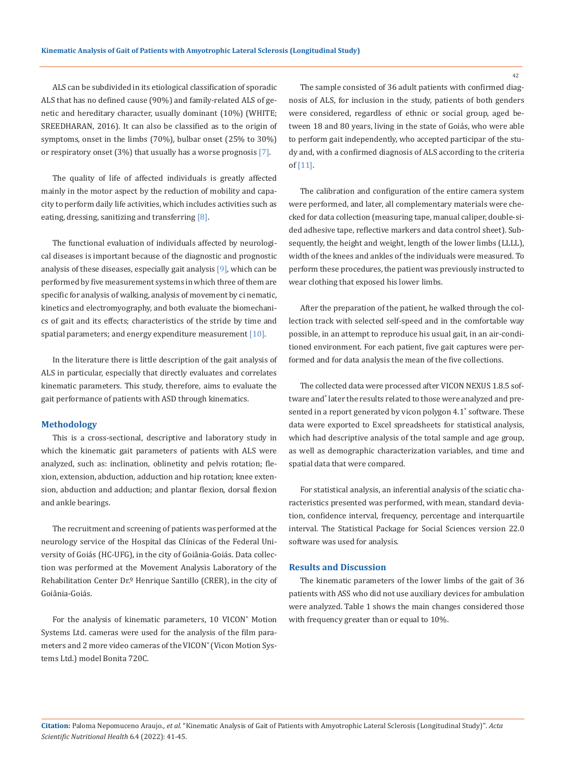ALS can be subdivided in its etiological classification of sporadic ALS that has no defined cause (90%) and family-related ALS of genetic and hereditary character, usually dominant (10%) (WHITE; SREEDHARAN, 2016). It can also be classified as to the origin of symptoms, onset in the limbs (70%), bulbar onset (25% to 30%) or respiratory onset  $(3%)$  that usually has a worse prognosis  $[7]$ .

The quality of life of affected individuals is greatly affected mainly in the motor aspect by the reduction of mobility and capacity to perform daily life activities, which includes activities such as eating, dressing, sanitizing and transferring [8].

The functional evaluation of individuals affected by neurological diseases is important because of the diagnostic and prognostic analysis of these diseases, especially gait analysis  $[9]$ , which can be performed by five measurement systems in which three of them are specific for analysis of walking, analysis of movement by ci nematic, kinetics and electromyography, and both evaluate the biomechanics of gait and its effects; characteristics of the stride by time and spatial parameters; and energy expenditure measurement  $[10]$ .

In the literature there is little description of the gait analysis of ALS in particular, especially that directly evaluates and correlates kinematic parameters. This study, therefore, aims to evaluate the gait performance of patients with ASD through kinematics.

#### **Methodology**

This is a cross-sectional, descriptive and laboratory study in which the kinematic gait parameters of patients with ALS were analyzed, such as: inclination, oblinetity and pelvis rotation; flexion, extension, abduction, adduction and hip rotation; knee extension, abduction and adduction; and plantar flexion, dorsal flexion and ankle bearings.

The recruitment and screening of patients was performed at the neurology service of the Hospital das Clínicas of the Federal University of Goiás (HC-UFG), in the city of Goiânia-Goiás. Data collection was performed at the Movement Analysis Laboratory of the Rehabilitation Center Dr.º Henrique Santillo (CRER), in the city of Goiânia-Goiás.

For the analysis of kinematic parameters, 10 VICON<sup>®</sup> Motion Systems Ltd. cameras were used for the analysis of the film parameters and 2 more video cameras of the VICON® (Vicon Motion Systems Ltd.) model Bonita 720C.

The sample consisted of 36 adult patients with confirmed diagnosis of ALS, for inclusion in the study, patients of both genders were considered, regardless of ethnic or social group, aged between 18 and 80 years, living in the state of Goiás, who were able to perform gait independently, who accepted participar of the study and, with a confirmed diagnosis of ALS according to the criteria of [11].

The calibration and configuration of the entire camera system were performed, and later, all complementary materials were checked for data collection (measuring tape, manual caliper, double-sided adhesive tape, reflective markers and data control sheet). Subsequently, the height and weight, length of the lower limbs (LLLL), width of the knees and ankles of the individuals were measured. To perform these procedures, the patient was previously instructed to wear clothing that exposed his lower limbs.

After the preparation of the patient, he walked through the collection track with selected self-speed and in the comfortable way possible, in an attempt to reproduce his usual gait, in an air-conditioned environment. For each patient, five gait captures were performed and for data analysis the mean of the five collections.

The collected data were processed after VICON NEXUS 1.8.5 software and® later the results related to those were analyzed and presented in a report generated by vicon polygon 4.1® software. These data were exported to Excel spreadsheets for statistical analysis, which had descriptive analysis of the total sample and age group, as well as demographic characterization variables, and time and spatial data that were compared.

For statistical analysis, an inferential analysis of the sciatic characteristics presented was performed, with mean, standard deviation, confidence interval, frequency, percentage and interquartile interval. The Statistical Package for Social Sciences version 22.0 software was used for analysis.

## **Results and Discussion**

The kinematic parameters of the lower limbs of the gait of 36 patients with ASS who did not use auxiliary devices for ambulation were analyzed. Table 1 shows the main changes considered those with frequency greater than or equal to 10%.

**Citation:** Paloma Nepomuceno Araujo*., et al.* "Kinematic Analysis of Gait of Patients with Amyotrophic Lateral Sclerosis (Longitudinal Study)". *Acta Scientific Nutritional Health* 6.4 (2022): 41-45.

42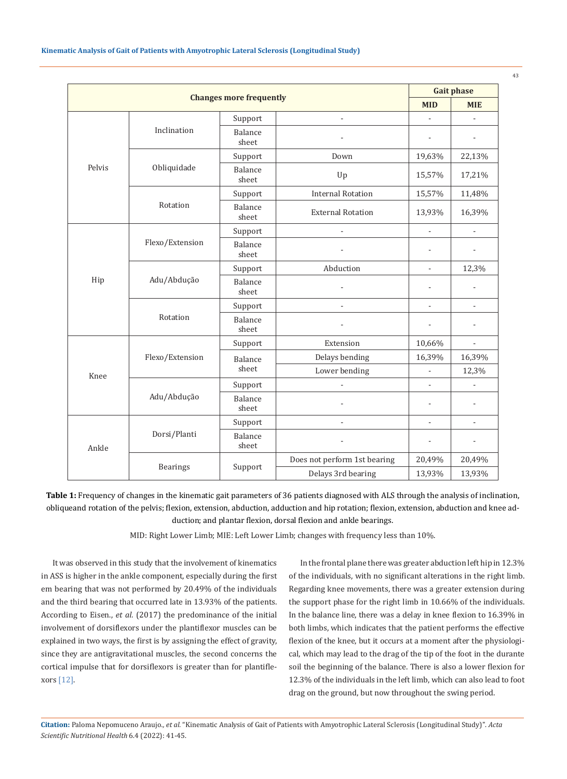| <b>Changes more frequently</b> |                 |                  |                              | <b>Gait phase</b>        |                |
|--------------------------------|-----------------|------------------|------------------------------|--------------------------|----------------|
|                                |                 |                  |                              | <b>MID</b>               | <b>MIE</b>     |
| Pelvis                         | Inclination     | Support          | ÷,                           | ÷,                       | ÷,             |
|                                |                 | Balance<br>sheet |                              | L,                       | ÷,             |
|                                | Obliquidade     | Support          | Down                         | 19,63%                   | 22,13%         |
|                                |                 | Balance<br>sheet | Up                           | 15,57%                   | 17,21%         |
|                                | Rotation        | Support          | <b>Internal Rotation</b>     | 15,57%                   | 11,48%         |
|                                |                 | Balance<br>sheet | <b>External Rotation</b>     | 13,93%                   | 16,39%         |
| Hip                            | Flexo/Extension | Support          | L                            | $\overline{a}$           | $\blacksquare$ |
|                                |                 | Balance<br>sheet |                              | $\overline{a}$           | L              |
|                                | Adu/Abdução     | Support          | Abduction                    | $\blacksquare$           | 12,3%          |
|                                |                 | Balance<br>sheet |                              | L,                       | ÷,             |
|                                | Rotation        | Support          | ÷,                           | L,                       | ÷,             |
|                                |                 | Balance<br>sheet |                              | $\overline{a}$           | L.             |
| Knee                           | Flexo/Extension | Support          | Extension                    | 10,66%                   | $\blacksquare$ |
|                                |                 | Balance<br>sheet | Delays bending               | 16,39%                   | 16,39%         |
|                                |                 |                  | Lower bending                | $\overline{\phantom{a}}$ | 12,3%          |
|                                | Adu/Abdução     | Support          |                              | L,                       | ÷,             |
|                                |                 | Balance<br>sheet |                              | ÷,                       | ÷,             |
| Ankle                          | Dorsi/Planti    | Support          | ä,                           | ÷,                       | ÷,             |
|                                |                 | Balance<br>sheet |                              | $\overline{\phantom{a}}$ | ÷              |
|                                | <b>Bearings</b> | Support          | Does not perform 1st bearing | 20,49%                   | 20,49%         |
|                                |                 |                  | Delays 3rd bearing           | 13,93%                   | 13,93%         |

**Table 1:** Frequency of changes in the kinematic gait parameters of 36 patients diagnosed with ALS through the analysis of inclination, obliqueand rotation of the pelvis; flexion, extension, abduction, adduction and hip rotation; flexion, extension, abduction and knee adduction; and plantar flexion, dorsal flexion and ankle bearings.

MID: Right Lower Limb; MIE: Left Lower Limb; changes with frequency less than 10%.

It was observed in this study that the involvement of kinematics in ASS is higher in the ankle component, especially during the first em bearing that was not performed by 20.49% of the individuals and the third bearing that occurred late in 13.93% of the patients. According to Eisen., *et al.* (2017) the predominance of the initial involvement of dorsiflexors under the plantiflexor muscles can be explained in two ways, the first is by assigning the effect of gravity, since they are antigravitational muscles, the second concerns the cortical impulse that for dorsiflexors is greater than for plantiflexors [12].

In the frontal plane there was greater abduction left hip in 12.3% of the individuals, with no significant alterations in the right limb. Regarding knee movements, there was a greater extension during the support phase for the right limb in 10.66% of the individuals. In the balance line, there was a delay in knee flexion to 16.39% in both limbs, which indicates that the patient performs the effective flexion of the knee, but it occurs at a moment after the physiological, which may lead to the drag of the tip of the foot in the durante soil the beginning of the balance. There is also a lower flexion for 12.3% of the individuals in the left limb, which can also lead to foot drag on the ground, but now throughout the swing period.

**Citation:** Paloma Nepomuceno Araujo*., et al.* "Kinematic Analysis of Gait of Patients with Amyotrophic Lateral Sclerosis (Longitudinal Study)". *Acta Scientific Nutritional Health* 6.4 (2022): 41-45.

43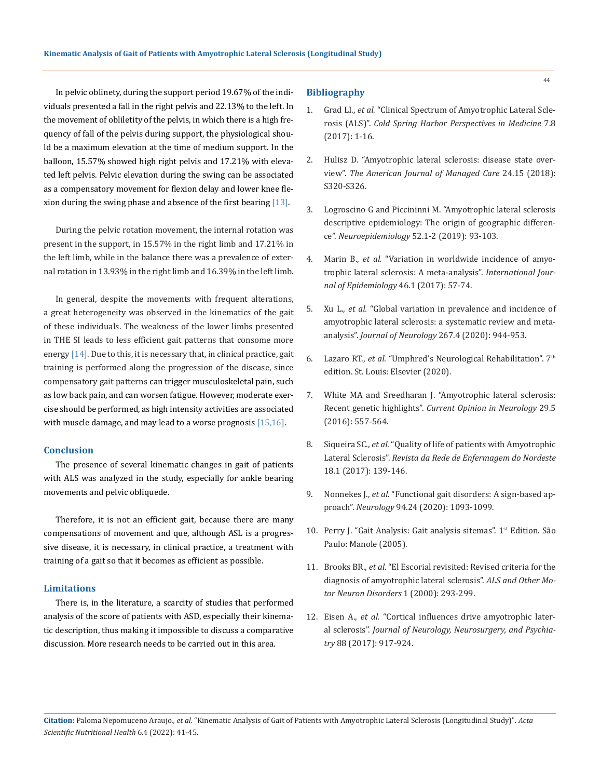In pelvic oblinety, during the support period 19.67% of the indi- **Bibliography** viduals presented a fall in the right pelvis and 22.13% to the left. In the movement of obliletity of the pelvis, in which there is a high frequency of fall of the pelvis during support, the physiological should be a maximum elevation at the time of medium support. In the balloon, 15.57% showed high right pelvis and 17.21% with elevated left pelvis. Pelvic elevation during the swing can be associated as a compensatory movement for flexion delay and lower knee flexion during the swing phase and absence of the first bearing  $[13]$ .

During the pelvic rotation movement, the internal rotation was present in the support, in 15.57% in the right limb and 17.21% in the left limb, while in the balance there was a prevalence of external rotation in 13.93% in the right limb and 16.39% in the left limb.

In general, despite the movements with frequent alterations, a great heterogeneity was observed in the kinematics of the gait of these individuals. The weakness of the lower limbs presented in THE SI leads to less efficient gait patterns that consome more energy [14]. Due to this, it is necessary that, in clinical practice, gait training is performed along the progression of the disease, since compensatory gait patterns can trigger musculoskeletal pain, such as low back pain, and can worsen fatigue. However, moderate exercise should be performed, as high intensity activities are associated with muscle damage, and may lead to a worse prognosis [15,16].

#### **Conclusion**

The presence of several kinematic changes in gait of patients with ALS was analyzed in the study, especially for ankle bearing movements and pelvic obliquede.

Therefore, it is not an efficient gait, because there are many compensations of movement and que, although ASL is a progressive disease, it is necessary, in clinical practice, a treatment with training of a gait so that it becomes as efficient as possible.

#### **Limitations**

There is, in the literature, a scarcity of studies that performed analysis of the score of patients with ASD, especially their kinematic description, thus making it impossible to discuss a comparative discussion. More research needs to be carried out in this area.

- 1. Grad LI., *et al.* ["Clinical Spectrum of Amyotrophic Lateral Scle](https://pubmed.ncbi.nlm.nih.gov/28003278/)rosis (ALS)". *[Cold Spring Harbor Perspectives in Medicine](https://pubmed.ncbi.nlm.nih.gov/28003278/)* 7.8 [\(2017\): 1-16.](https://pubmed.ncbi.nlm.nih.gov/28003278/)
- 2. [Hulisz D. "Amyotrophic lateral sclerosis: disease state over](https://pubmed.ncbi.nlm.nih.gov/30207670/)view". *[The American Journal of](https://pubmed.ncbi.nlm.nih.gov/30207670/) Managed Care* 24.15 (2018): [S320-S326.](https://pubmed.ncbi.nlm.nih.gov/30207670/)
- 3. [Logroscino G and Piccininni M. "Amyotrophic lateral sclerosis](https://pubmed.ncbi.nlm.nih.gov/30602169/)  [descriptive epidemiology: The origin of geographic differen](https://pubmed.ncbi.nlm.nih.gov/30602169/)ce". *Neuroepidemiology* [52.1-2 \(2019\): 93-103.](https://pubmed.ncbi.nlm.nih.gov/30602169/)
- 4. Marin B., *et al.* ["Variation in worldwide incidence of amyo](https://pubmed.ncbi.nlm.nih.gov/27185810/)[trophic lateral sclerosis: A meta-analysis".](https://pubmed.ncbi.nlm.nih.gov/27185810/) *International Jour[nal of Epidemiology](https://pubmed.ncbi.nlm.nih.gov/27185810/)* 46.1 (2017): 57-74.
- 5. Xu L., *et al.* ["Global variation in prevalence and incidence of](https://pubmed.ncbi.nlm.nih.gov/31797084/)  [amyotrophic lateral sclerosis: a systematic review and meta](https://pubmed.ncbi.nlm.nih.gov/31797084/)analysis". *Journal of Neurology* [267.4 \(2020\): 944-953.](https://pubmed.ncbi.nlm.nih.gov/31797084/)
- 6. Lazaro RT., *et al.* ["Umphred's Neurological Rehabilitation". 7](https://www.elsevier.com/books/umphreds-neurological-rehabilitation/lazaro/978-0-323-61117-6)th [edition. St. Louis: Elsevier \(2020\).](https://www.elsevier.com/books/umphreds-neurological-rehabilitation/lazaro/978-0-323-61117-6)
- 7. [White MA and Sreedharan J. "Amyotrophic lateral sclerosis:](https://pubmed.ncbi.nlm.nih.gov/27538057/)  Recent genetic highlights". *[Current Opinion in Neurology](https://pubmed.ncbi.nlm.nih.gov/27538057/)* 29.5 [\(2016\): 557-564.](https://pubmed.ncbi.nlm.nih.gov/27538057/)
- 8. Siqueira SC., *et al.* ["Quality of life of patients with Amyotrophic](https://pubmed.ncbi.nlm.nih.gov/14509487/)  Lateral Sclerosis". *Revista da [Rede de Enfermagem do Nordeste](https://pubmed.ncbi.nlm.nih.gov/14509487/)* [18.1 \(2017\): 139-146.](https://pubmed.ncbi.nlm.nih.gov/14509487/)
- 9. Nonnekes J., *et al.* ["Functional gait disorders: A sign-based ap](https://pubmed.ncbi.nlm.nih.gov/32482839/)proach". *Neurology* [94.24 \(2020\): 1093-1099.](https://pubmed.ncbi.nlm.nih.gov/32482839/)
- 10. Perry J. "Gait Analysis: Gait analysis sitemas". 1<sup>st</sup> Edition. São Paulo: Manole (2005).
- 11. Brooks BR., *et al.* ["El Escorial revisited: Revised criteria for the](https://pubmed.ncbi.nlm.nih.gov/11464847/)  [diagnosis of amyotrophic lateral sclerosis".](https://pubmed.ncbi.nlm.nih.gov/11464847/) *ALS and Other Mo[tor Neuron Disorders](https://pubmed.ncbi.nlm.nih.gov/11464847/)* 1 (2000): 293-299.
- 12. Eisen A., *et al.* ["Cortical influences drive amyotrophic later](https://pubmed.ncbi.nlm.nih.gov/28710326/)al sclerosis". *[Journal of Neurology, Neurosurgery, and Psychia](https://pubmed.ncbi.nlm.nih.gov/28710326/)try* [88 \(2017\): 917-924.](https://pubmed.ncbi.nlm.nih.gov/28710326/)

44